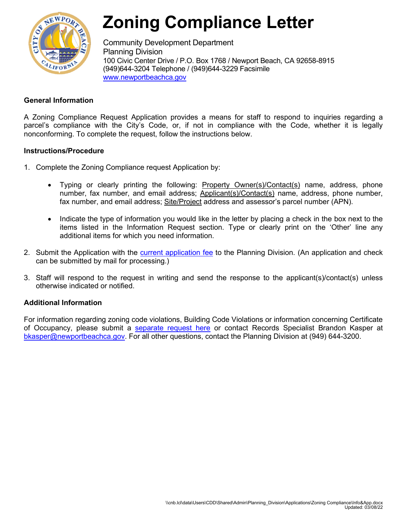

# **Zoning Compliance Letter**

Community Development Department Planning Division 100 Civic Center Drive / P.O. Box 1768 / Newport Beach, CA 92658-8915 (949)644-3204 Telephone / (949)644-3229 Facsimile [www.newportbeachca.gov](http://www.newportbeachca.gov/)

# **General Information**

A Zoning Compliance Request Application provides a means for staff to respond to inquiries regarding a parcel's compliance with the City's Code, or, if not in compliance with the Code, whether it is legally nonconforming. To complete the request, follow the instructions below.

## **Instructions/Procedure**

- 1. Complete the Zoning Compliance request Application by:
	- Typing or clearly printing the following: **Property Owner(s)/Contact(s)** name, address, phone number, fax number, and email address; Applicant(s)/Contact(s) name, address, phone number, fax number, and email address; Site/Project address and assessor's parcel number (APN).
	- Indicate the type of information you would like in the letter by placing a check in the box next to the items listed in the Information Request section. Type or clearly print on the 'Other' line any additional items for which you need information.
- 2. Submit the Application with the [current application fee](http://www.newportbeachca.gov/Modules/ShowDocument.aspx?documentid=131) to the Planning Division. (An application and check can be submitted by mail for processing.)
- 3. Staff will respond to the request in writing and send the response to the applicant(s)/contact(s) unless otherwise indicated or notified.

## **Additional Information**

For information regarding zoning code violations, Building Code Violations or information concerning Certificate of Occupancy, please submit a [separate request here](https://apps.newportbeachca.gov/quest/default?cat=PRA) or contact Records Specialist Brandon Kasper at [bkasper@newportbeachca.gov.](mailto:bkasper@newportbeachca.gov) For all other questions, contact the Planning Division at (949) 644-3200.